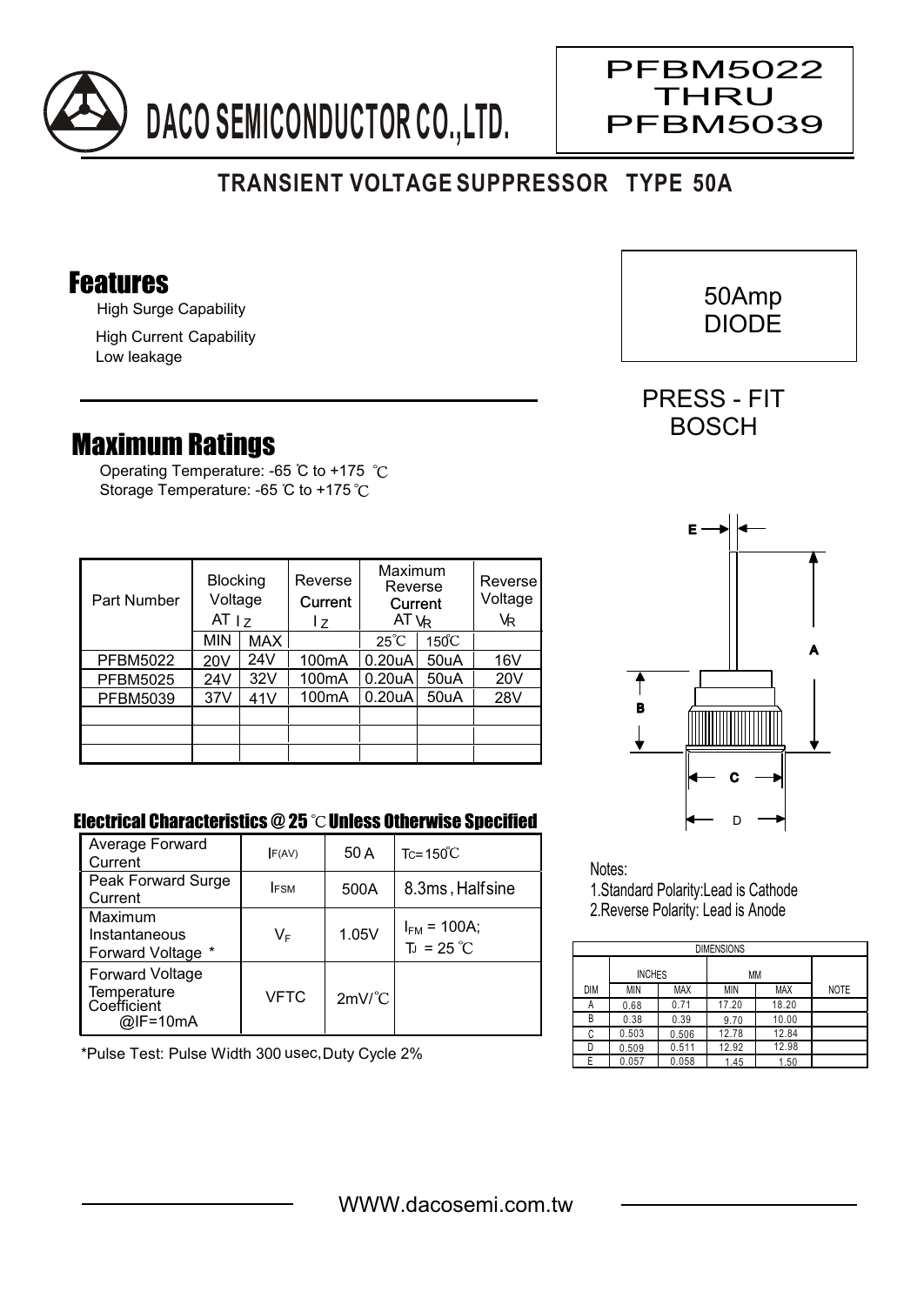

## **TRANSIENT VOLTAGE SUPPRESSOR TYPE 50A**

## Features

High Surge Capability

High Current Capability Low leakage

## Maximum Ratings

Operating Temperature: -65 °C to +175 °C Storage Temperature: -65 °C to +175 °C

| <b>Blocking</b><br>Voltage<br>Part Number<br>AT <sub>1z</sub> |                 | Reverse<br>Current<br>17 | Maximum<br>Reverse<br>Current<br>AT $V_R$ |                     | Reverse<br>Voltage<br>VR |     |
|---------------------------------------------------------------|-----------------|--------------------------|-------------------------------------------|---------------------|--------------------------|-----|
|                                                               | <b>MIN</b>      | <b>MAX</b>               |                                           | $25^{\circ}C$       | $150^{\circ}$ C          |     |
| <b>PFBM5022</b>                                               | 20 <sub>V</sub> | 24V                      | 100 <sub>m</sub> A                        | 0.20 uA             | 50uA                     | 16V |
| <b>PFBM5025</b>                                               | 24V             | 32V                      | 100 <sub>m</sub> A                        | 0.20 <sub>u</sub> A | 50uA                     | 20V |
| <b>PFBM5039</b>                                               | 37V             | 41V                      | 100 <sub>m</sub> A                        | 0.20 <sub>u</sub> A | 50uA                     | 28V |
|                                                               |                 |                          |                                           |                     |                          |     |
|                                                               |                 |                          |                                           |                     |                          |     |
|                                                               |                 |                          |                                           |                     |                          |     |

## Electrical Characteristics @ 25  $\degree$ C Unless Otherwise Specified

| Average Forward<br>Current                                       | F(AV)       | 50 A                 | $Tc = 150^{\circ}C$                     |
|------------------------------------------------------------------|-------------|----------------------|-----------------------------------------|
| Peak Forward Surge<br>Current                                    | <b>IFSM</b> | 500A                 | 8.3ms, Halfsine                         |
| Maximum<br>Instantaneous<br>Forward Voltage *                    | VF          | 1.05V                | $I_{FM}$ = 100A;<br>$T_J = 25^{\circ}C$ |
| <b>Forward Voltage</b><br>Temperature<br>Coefficient<br>@IF=10mA | VFTC        | $2mV$ <sup>°</sup> C |                                         |

\*Pulse Test: Pulse Width 300 usec,Duty Cycle 2%



Notes:

1.Standard Polarity:Lead is Cathode 2.Reverse Polarity: Lead is Anode

| <b>DIMENSIONS</b> |               |            |       |            |             |  |  |  |  |  |
|-------------------|---------------|------------|-------|------------|-------------|--|--|--|--|--|
|                   | <b>INCHES</b> |            | МM    |            |             |  |  |  |  |  |
| <b>DIM</b>        | <b>MIN</b>    | <b>MAX</b> | ΜIΝ   | <b>MAX</b> | <b>NOTE</b> |  |  |  |  |  |
| А                 | 0.68          | 0.71       | 17.20 | 18.20      |             |  |  |  |  |  |
| В                 | 0.38          | 0.39       | 9.70  | 10.00      |             |  |  |  |  |  |
| C                 | 0.503         | 0.506      | 12.78 | 12.84      |             |  |  |  |  |  |
| D                 | 0.509         | 0.511      | 12.92 | 12.98      |             |  |  |  |  |  |
|                   | 0.057         | 0.058      | 1.45  | 1.50       |             |  |  |  |  |  |



 50Amp DIODE

 $\overline{\phantom{a}}$ 

PFBM5022 THRU PFBM5039